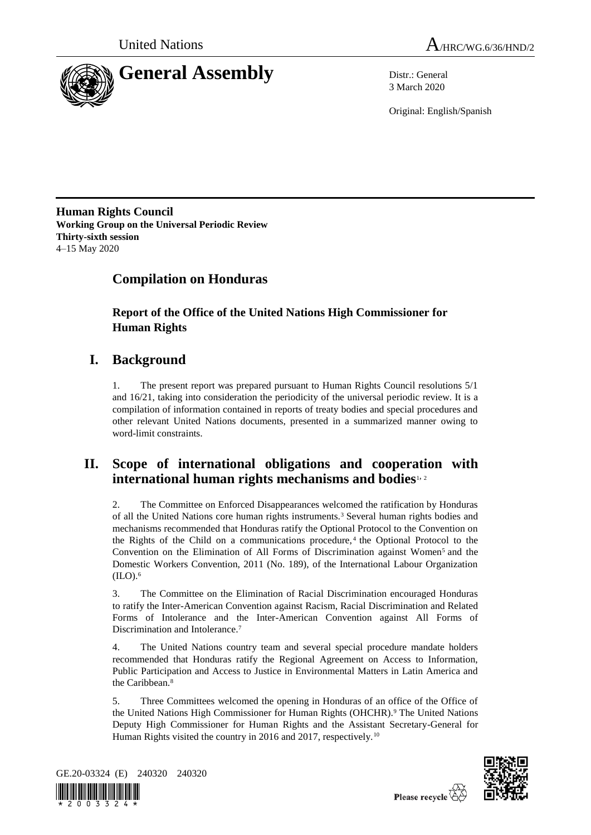



3 March 2020

Original: English/Spanish

**Human Rights Council Working Group on the Universal Periodic Review Thirty-sixth session** 4–15 May 2020

# **Compilation on Honduras**

**Report of the Office of the United Nations High Commissioner for Human Rights**

# **I. Background**

1. The present report was prepared pursuant to Human Rights Council resolutions 5/1 and 16/21, taking into consideration the periodicity of the universal periodic review. It is a compilation of information contained in reports of treaty bodies and special procedures and other relevant United Nations documents, presented in a summarized manner owing to word-limit constraints.

## **II. Scope of international obligations and cooperation with international human rights mechanisms and bodies**1, <sup>2</sup>

2. The Committee on Enforced Disappearances welcomed the ratification by Honduras of all the United Nations core human rights instruments.<sup>3</sup> Several human rights bodies and mechanisms recommended that Honduras ratify the Optional Protocol to the Convention on the Rights of the Child on a communications procedure, $4$  the Optional Protocol to the Convention on the Elimination of All Forms of Discrimination against Women<sup>5</sup> and the Domestic Workers Convention, 2011 (No. 189), of the International Labour Organization  $(II.0).<sup>6</sup>$ 

3. The Committee on the Elimination of Racial Discrimination encouraged Honduras to ratify the Inter-American Convention against Racism, Racial Discrimination and Related Forms of Intolerance and the Inter-American Convention against All Forms of Discrimination and Intolerance.<sup>7</sup>

4. The United Nations country team and several special procedure mandate holders recommended that Honduras ratify the Regional Agreement on Access to Information, Public Participation and Access to Justice in Environmental Matters in Latin America and the Caribbean.<sup>8</sup>

5. Three Committees welcomed the opening in Honduras of an office of the Office of the United Nations High Commissioner for Human Rights (OHCHR).<sup>9</sup> The United Nations Deputy High Commissioner for Human Rights and the Assistant Secretary-General for Human Rights visited the country in 2016 and 2017, respectively.<sup>10</sup>





Please recycle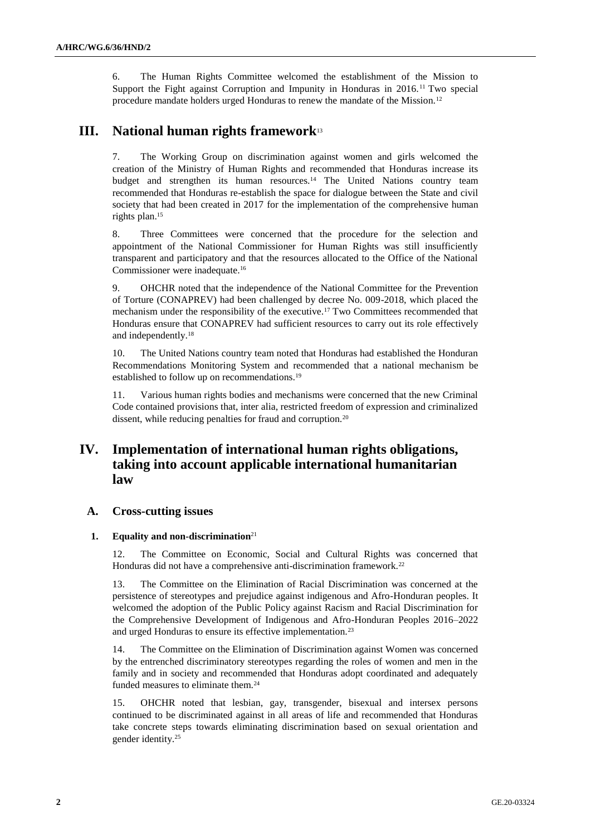6. The Human Rights Committee welcomed the establishment of the Mission to Support the Fight against Corruption and Impunity in Honduras in 2016.<sup>11</sup> Two special procedure mandate holders urged Honduras to renew the mandate of the Mission.<sup>12</sup>

## **III. National human rights framework**<sup>13</sup>

7. The Working Group on discrimination against women and girls welcomed the creation of the Ministry of Human Rights and recommended that Honduras increase its budget and strengthen its human resources.<sup>14</sup> The United Nations country team recommended that Honduras re-establish the space for dialogue between the State and civil society that had been created in 2017 for the implementation of the comprehensive human rights plan. 15

8. Three Committees were concerned that the procedure for the selection and appointment of the National Commissioner for Human Rights was still insufficiently transparent and participatory and that the resources allocated to the Office of the National Commissioner were inadequate.<sup>16</sup>

9. OHCHR noted that the independence of the National Committee for the Prevention of Torture (CONAPREV) had been challenged by decree No. 009-2018, which placed the mechanism under the responsibility of the executive.<sup>17</sup> Two Committees recommended that Honduras ensure that CONAPREV had sufficient resources to carry out its role effectively and independently.<sup>18</sup>

10. The United Nations country team noted that Honduras had established the Honduran Recommendations Monitoring System and recommended that a national mechanism be established to follow up on recommendations.<sup>19</sup>

11. Various human rights bodies and mechanisms were concerned that the new Criminal Code contained provisions that, inter alia, restricted freedom of expression and criminalized dissent, while reducing penalties for fraud and corruption.<sup>20</sup>

## **IV. Implementation of international human rights obligations, taking into account applicable international humanitarian law**

## **A. Cross-cutting issues**

### **1. Equality and non-discrimination**<sup>21</sup>

12. The Committee on Economic, Social and Cultural Rights was concerned that Honduras did not have a comprehensive anti-discrimination framework.<sup>22</sup>

13. The Committee on the Elimination of Racial Discrimination was concerned at the persistence of stereotypes and prejudice against indigenous and Afro-Honduran peoples. It welcomed the adoption of the Public Policy against Racism and Racial Discrimination for the Comprehensive Development of Indigenous and Afro-Honduran Peoples 2016–2022 and urged Honduras to ensure its effective implementation.<sup>23</sup>

14. The Committee on the Elimination of Discrimination against Women was concerned by the entrenched discriminatory stereotypes regarding the roles of women and men in the family and in society and recommended that Honduras adopt coordinated and adequately funded measures to eliminate them.<sup>24</sup>

15. OHCHR noted that lesbian, gay, transgender, bisexual and intersex persons continued to be discriminated against in all areas of life and recommended that Honduras take concrete steps towards eliminating discrimination based on sexual orientation and gender identity.25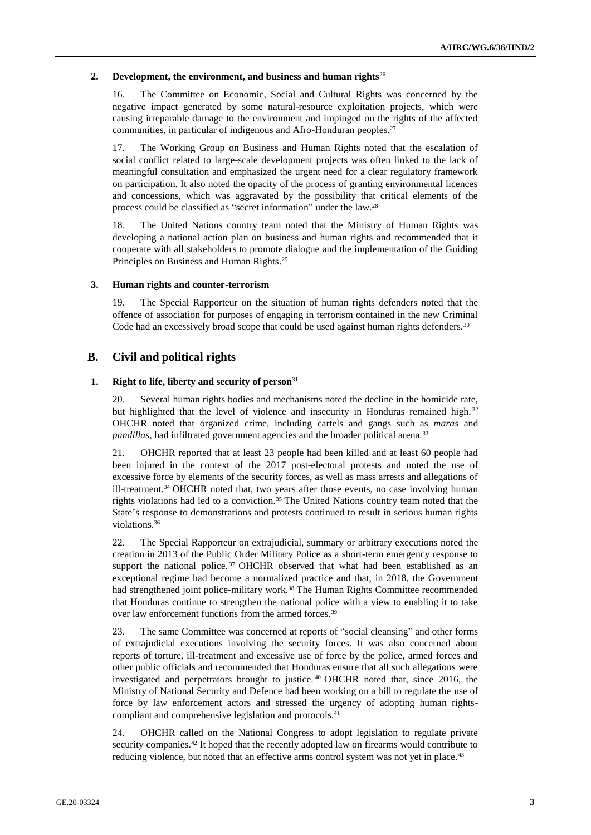#### **2. Development, the environment, and business and human rights**<sup>26</sup>

16. The Committee on Economic, Social and Cultural Rights was concerned by the negative impact generated by some natural-resource exploitation projects, which were causing irreparable damage to the environment and impinged on the rights of the affected communities, in particular of indigenous and Afro-Honduran peoples.<sup>27</sup>

17. The Working Group on Business and Human Rights noted that the escalation of social conflict related to large-scale development projects was often linked to the lack of meaningful consultation and emphasized the urgent need for a clear regulatory framework on participation. It also noted the opacity of the process of granting environmental licences and concessions, which was aggravated by the possibility that critical elements of the process could be classified as "secret information" under the law.<sup>28</sup>

18. The United Nations country team noted that the Ministry of Human Rights was developing a national action plan on business and human rights and recommended that it cooperate with all stakeholders to promote dialogue and the implementation of the Guiding Principles on Business and Human Rights.<sup>29</sup>

### **3. Human rights and counter-terrorism**

19. The Special Rapporteur on the situation of human rights defenders noted that the offence of association for purposes of engaging in terrorism contained in the new Criminal Code had an excessively broad scope that could be used against human rights defenders.<sup>30</sup>

## **B. Civil and political rights**

### **1. Right to life, liberty and security of person**<sup>31</sup>

20. Several human rights bodies and mechanisms noted the decline in the homicide rate, but highlighted that the level of violence and insecurity in Honduras remained high.<sup>32</sup> OHCHR noted that organized crime, including cartels and gangs such as *maras* and *pandillas*, had infiltrated government agencies and the broader political arena.<sup>33</sup>

21. OHCHR reported that at least 23 people had been killed and at least 60 people had been injured in the context of the 2017 post-electoral protests and noted the use of excessive force by elements of the security forces, as well as mass arrests and allegations of ill-treatment.<sup>34</sup> OHCHR noted that, two years after those events, no case involving human rights violations had led to a conviction. <sup>35</sup> The United Nations country team noted that the State's response to demonstrations and protests continued to result in serious human rights violations.<sup>36</sup>

22. The Special Rapporteur on extrajudicial, summary or arbitrary executions noted the creation in 2013 of the Public Order Military Police as a short-term emergency response to support the national police.<sup>37</sup> OHCHR observed that what had been established as an exceptional regime had become a normalized practice and that, in 2018, the Government had strengthened joint police-military work.<sup>38</sup> The Human Rights Committee recommended that Honduras continue to strengthen the national police with a view to enabling it to take over law enforcement functions from the armed forces.<sup>39</sup>

23. The same Committee was concerned at reports of "social cleansing" and other forms of extrajudicial executions involving the security forces. It was also concerned about reports of torture, ill-treatment and excessive use of force by the police, armed forces and other public officials and recommended that Honduras ensure that all such allegations were investigated and perpetrators brought to justice. <sup>40</sup> OHCHR noted that, since 2016, the Ministry of National Security and Defence had been working on a bill to regulate the use of force by law enforcement actors and stressed the urgency of adopting human rightscompliant and comprehensive legislation and protocols.<sup>41</sup>

24. OHCHR called on the National Congress to adopt legislation to regulate private security companies.<sup>42</sup> It hoped that the recently adopted law on firearms would contribute to reducing violence, but noted that an effective arms control system was not yet in place.<sup>43</sup>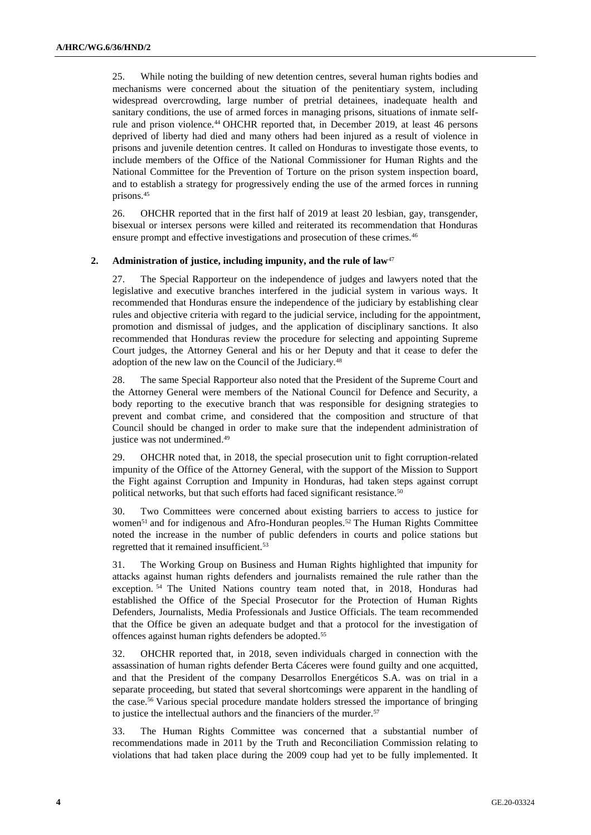25. While noting the building of new detention centres, several human rights bodies and mechanisms were concerned about the situation of the penitentiary system, including widespread overcrowding, large number of pretrial detainees, inadequate health and sanitary conditions, the use of armed forces in managing prisons, situations of inmate selfrule and prison violence.<sup>44</sup> OHCHR reported that, in December 2019, at least 46 persons deprived of liberty had died and many others had been injured as a result of violence in prisons and juvenile detention centres. It called on Honduras to investigate those events, to include members of the Office of the National Commissioner for Human Rights and the National Committee for the Prevention of Torture on the prison system inspection board, and to establish a strategy for progressively ending the use of the armed forces in running prisons. 45

26. OHCHR reported that in the first half of 2019 at least 20 lesbian, gay, transgender, bisexual or intersex persons were killed and reiterated its recommendation that Honduras ensure prompt and effective investigations and prosecution of these crimes.<sup>46</sup>

#### **2. Administration of justice, including impunity, and the rule of law**<sup>47</sup>

27. The Special Rapporteur on the independence of judges and lawyers noted that the legislative and executive branches interfered in the judicial system in various ways. It recommended that Honduras ensure the independence of the judiciary by establishing clear rules and objective criteria with regard to the judicial service, including for the appointment, promotion and dismissal of judges, and the application of disciplinary sanctions. It also recommended that Honduras review the procedure for selecting and appointing Supreme Court judges, the Attorney General and his or her Deputy and that it cease to defer the adoption of the new law on the Council of the Judiciary. 48

28. The same Special Rapporteur also noted that the President of the Supreme Court and the Attorney General were members of the National Council for Defence and Security, a body reporting to the executive branch that was responsible for designing strategies to prevent and combat crime, and considered that the composition and structure of that Council should be changed in order to make sure that the independent administration of justice was not undermined. 49

29. OHCHR noted that, in 2018, the special prosecution unit to fight corruption-related impunity of the Office of the Attorney General, with the support of the Mission to Support the Fight against Corruption and Impunity in Honduras, had taken steps against corrupt political networks, but that such efforts had faced significant resistance.<sup>50</sup>

30. Two Committees were concerned about existing barriers to access to justice for women<sup>51</sup> and for indigenous and Afro-Honduran peoples.<sup>52</sup> The Human Rights Committee noted the increase in the number of public defenders in courts and police stations but regretted that it remained insufficient.<sup>53</sup>

31. The Working Group on Business and Human Rights highlighted that impunity for attacks against human rights defenders and journalists remained the rule rather than the exception. <sup>54</sup> The United Nations country team noted that, in 2018, Honduras had established the Office of the Special Prosecutor for the Protection of Human Rights Defenders, Journalists, Media Professionals and Justice Officials. The team recommended that the Office be given an adequate budget and that a protocol for the investigation of offences against human rights defenders be adopted.<sup>55</sup>

32. OHCHR reported that, in 2018, seven individuals charged in connection with the assassination of human rights defender Berta Cáceres were found guilty and one acquitted, and that the President of the company Desarrollos Energéticos S.A. was on trial in a separate proceeding, but stated that several shortcomings were apparent in the handling of the case.<sup>56</sup> Various special procedure mandate holders stressed the importance of bringing to justice the intellectual authors and the financiers of the murder.<sup>57</sup>

33. The Human Rights Committee was concerned that a substantial number of recommendations made in 2011 by the Truth and Reconciliation Commission relating to violations that had taken place during the 2009 coup had yet to be fully implemented. It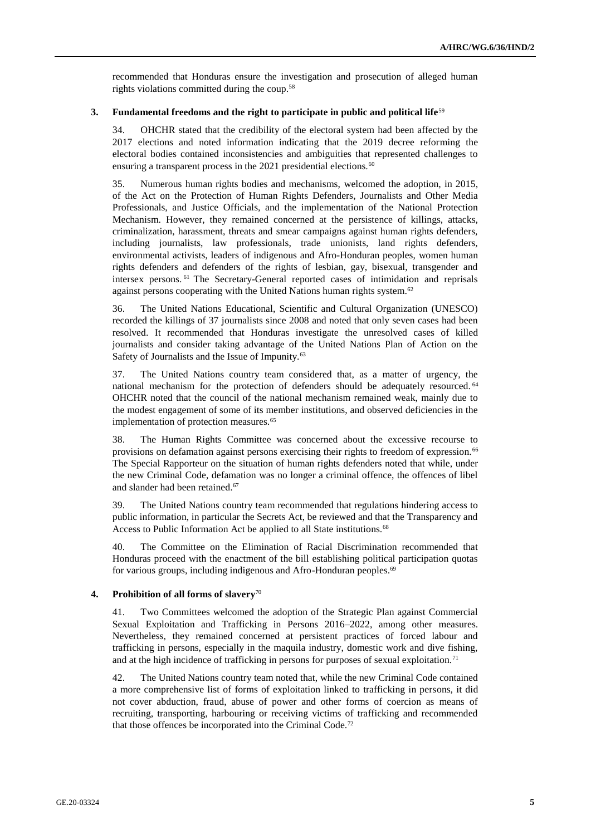recommended that Honduras ensure the investigation and prosecution of alleged human rights violations committed during the coup.<sup>58</sup>

#### **3. Fundamental freedoms and the right to participate in public and political life**<sup>59</sup>

34. OHCHR stated that the credibility of the electoral system had been affected by the 2017 elections and noted information indicating that the 2019 decree reforming the electoral bodies contained inconsistencies and ambiguities that represented challenges to ensuring a transparent process in the 2021 presidential elections.<sup>60</sup>

35. Numerous human rights bodies and mechanisms, welcomed the adoption, in 2015, of the Act on the Protection of Human Rights Defenders, Journalists and Other Media Professionals, and Justice Officials, and the implementation of the National Protection Mechanism. However, they remained concerned at the persistence of killings, attacks, criminalization, harassment, threats and smear campaigns against human rights defenders, including journalists, law professionals, trade unionists, land rights defenders, environmental activists, leaders of indigenous and Afro-Honduran peoples, women human rights defenders and defenders of the rights of lesbian, gay, bisexual, transgender and intersex persons. <sup>61</sup> The Secretary-General reported cases of intimidation and reprisals against persons cooperating with the United Nations human rights system.<sup>62</sup>

36. The United Nations Educational, Scientific and Cultural Organization (UNESCO) recorded the killings of 37 journalists since 2008 and noted that only seven cases had been resolved. It recommended that Honduras investigate the unresolved cases of killed journalists and consider taking advantage of the United Nations Plan of Action on the Safety of Journalists and the Issue of Impunity.<sup>63</sup>

37. The United Nations country team considered that, as a matter of urgency, the national mechanism for the protection of defenders should be adequately resourced. <sup>64</sup> OHCHR noted that the council of the national mechanism remained weak, mainly due to the modest engagement of some of its member institutions, and observed deficiencies in the implementation of protection measures.<sup>65</sup>

38. The Human Rights Committee was concerned about the excessive recourse to provisions on defamation against persons exercising their rights to freedom of expression.<sup>66</sup> The Special Rapporteur on the situation of human rights defenders noted that while, under the new Criminal Code, defamation was no longer a criminal offence, the offences of libel and slander had been retained.<sup>67</sup>

39. The United Nations country team recommended that regulations hindering access to public information, in particular the Secrets Act, be reviewed and that the Transparency and Access to Public Information Act be applied to all State institutions.<sup>68</sup>

40. The Committee on the Elimination of Racial Discrimination recommended that Honduras proceed with the enactment of the bill establishing political participation quotas for various groups, including indigenous and Afro-Honduran peoples.<sup>69</sup>

#### **4. Prohibition of all forms of slavery**<sup>70</sup>

41. Two Committees welcomed the adoption of the Strategic Plan against Commercial Sexual Exploitation and Trafficking in Persons 2016–2022, among other measures. Nevertheless, they remained concerned at persistent practices of forced labour and trafficking in persons, especially in the maquila industry, domestic work and dive fishing, and at the high incidence of trafficking in persons for purposes of sexual exploitation.<sup>71</sup>

42. The United Nations country team noted that, while the new Criminal Code contained a more comprehensive list of forms of exploitation linked to trafficking in persons, it did not cover abduction, fraud, abuse of power and other forms of coercion as means of recruiting, transporting, harbouring or receiving victims of trafficking and recommended that those offences be incorporated into the Criminal Code.72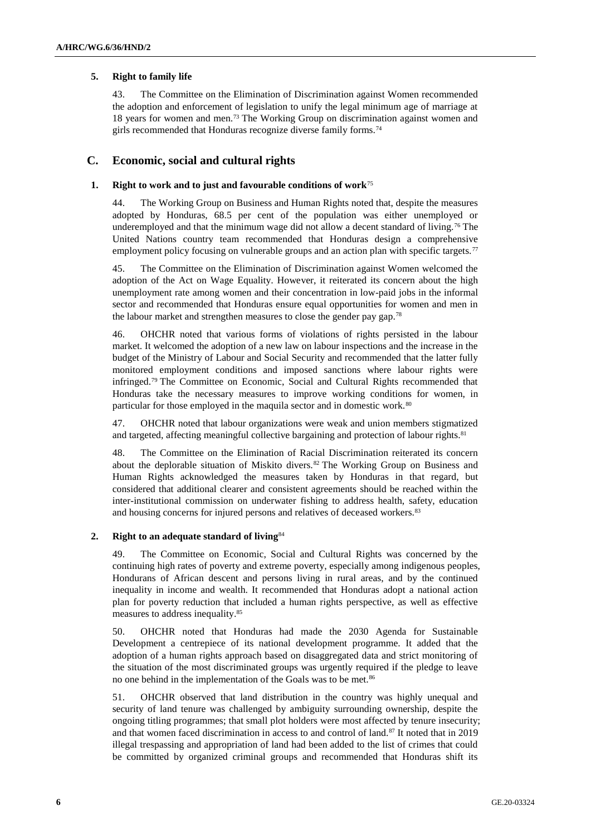#### **5. Right to family life**

43. The Committee on the Elimination of Discrimination against Women recommended the adoption and enforcement of legislation to unify the legal minimum age of marriage at 18 years for women and men.<sup>73</sup> The Working Group on discrimination against women and girls recommended that Honduras recognize diverse family forms.<sup>74</sup>

### **C. Economic, social and cultural rights**

## **1. Right to work and to just and favourable conditions of work**<sup>75</sup>

44. The Working Group on Business and Human Rights noted that, despite the measures adopted by Honduras, 68.5 per cent of the population was either unemployed or underemployed and that the minimum wage did not allow a decent standard of living.<sup>76</sup> The United Nations country team recommended that Honduras design a comprehensive employment policy focusing on vulnerable groups and an action plan with specific targets.<sup>77</sup>

45. The Committee on the Elimination of Discrimination against Women welcomed the adoption of the Act on Wage Equality. However, it reiterated its concern about the high unemployment rate among women and their concentration in low-paid jobs in the informal sector and recommended that Honduras ensure equal opportunities for women and men in the labour market and strengthen measures to close the gender pay gap.<sup>78</sup>

46. OHCHR noted that various forms of violations of rights persisted in the labour market. It welcomed the adoption of a new law on labour inspections and the increase in the budget of the Ministry of Labour and Social Security and recommended that the latter fully monitored employment conditions and imposed sanctions where labour rights were infringed.<sup>79</sup> The Committee on Economic, Social and Cultural Rights recommended that Honduras take the necessary measures to improve working conditions for women, in particular for those employed in the maquila sector and in domestic work.<sup>80</sup>

47. OHCHR noted that labour organizations were weak and union members stigmatized and targeted, affecting meaningful collective bargaining and protection of labour rights.<sup>81</sup>

48. The Committee on the Elimination of Racial Discrimination reiterated its concern about the deplorable situation of Miskito divers.<sup>82</sup> The Working Group on Business and Human Rights acknowledged the measures taken by Honduras in that regard, but considered that additional clearer and consistent agreements should be reached within the inter-institutional commission on underwater fishing to address health, safety, education and housing concerns for injured persons and relatives of deceased workers.<sup>83</sup>

#### **2. Right to an adequate standard of living**<sup>84</sup>

49. The Committee on Economic, Social and Cultural Rights was concerned by the continuing high rates of poverty and extreme poverty, especially among indigenous peoples, Hondurans of African descent and persons living in rural areas, and by the continued inequality in income and wealth. It recommended that Honduras adopt a national action plan for poverty reduction that included a human rights perspective, as well as effective measures to address inequality.<sup>85</sup>

50. OHCHR noted that Honduras had made the 2030 Agenda for Sustainable Development a centrepiece of its national development programme. It added that the adoption of a human rights approach based on disaggregated data and strict monitoring of the situation of the most discriminated groups was urgently required if the pledge to leave no one behind in the implementation of the Goals was to be met.<sup>86</sup>

51. OHCHR observed that land distribution in the country was highly unequal and security of land tenure was challenged by ambiguity surrounding ownership, despite the ongoing titling programmes; that small plot holders were most affected by tenure insecurity; and that women faced discrimination in access to and control of land.<sup>87</sup> It noted that in 2019 illegal trespassing and appropriation of land had been added to the list of crimes that could be committed by organized criminal groups and recommended that Honduras shift its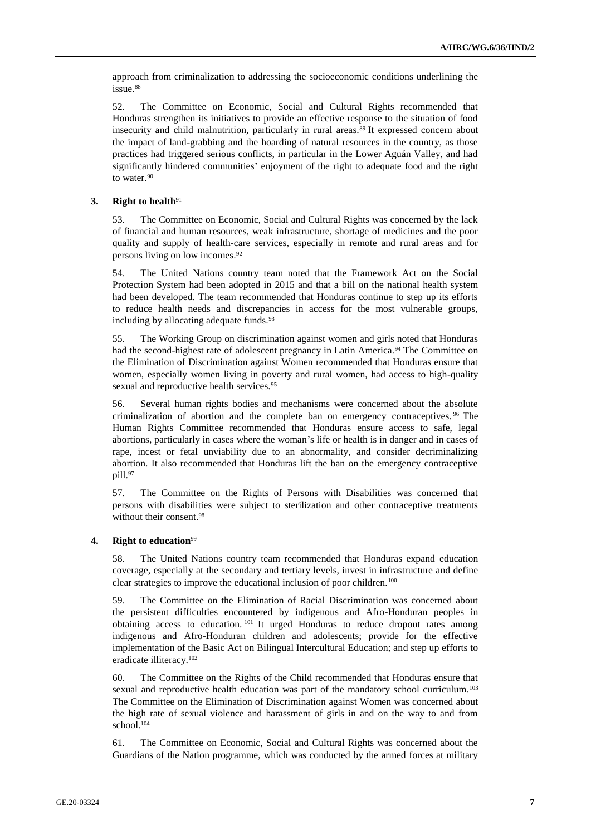approach from criminalization to addressing the socioeconomic conditions underlining the issue.<sup>88</sup>

52. The Committee on Economic, Social and Cultural Rights recommended that Honduras strengthen its initiatives to provide an effective response to the situation of food insecurity and child malnutrition, particularly in rural areas.<sup>89</sup> It expressed concern about the impact of land-grabbing and the hoarding of natural resources in the country, as those practices had triggered serious conflicts, in particular in the Lower Aguán Valley, and had significantly hindered communities' enjoyment of the right to adequate food and the right to water.<sup>90</sup>

#### **3. Right to health**<sup>91</sup>

53. The Committee on Economic, Social and Cultural Rights was concerned by the lack of financial and human resources, weak infrastructure, shortage of medicines and the poor quality and supply of health-care services, especially in remote and rural areas and for persons living on low incomes.<sup>92</sup>

54. The United Nations country team noted that the Framework Act on the Social Protection System had been adopted in 2015 and that a bill on the national health system had been developed. The team recommended that Honduras continue to step up its efforts to reduce health needs and discrepancies in access for the most vulnerable groups, including by allocating adequate funds.<sup>93</sup>

55. The Working Group on discrimination against women and girls noted that Honduras had the second-highest rate of adolescent pregnancy in Latin America.<sup>94</sup> The Committee on the Elimination of Discrimination against Women recommended that Honduras ensure that women, especially women living in poverty and rural women, had access to high-quality sexual and reproductive health services.<sup>95</sup>

56. Several human rights bodies and mechanisms were concerned about the absolute criminalization of abortion and the complete ban on emergency contraceptives. <sup>96</sup> The Human Rights Committee recommended that Honduras ensure access to safe, legal abortions, particularly in cases where the woman's life or health is in danger and in cases of rape, incest or fetal unviability due to an abnormality, and consider decriminalizing abortion. It also recommended that Honduras lift the ban on the emergency contraceptive pill.97

57. The Committee on the Rights of Persons with Disabilities was concerned that persons with disabilities were subject to sterilization and other contraceptive treatments without their consent.<sup>98</sup>

#### **4. Right to education**<sup>99</sup>

58. The United Nations country team recommended that Honduras expand education coverage, especially at the secondary and tertiary levels, invest in infrastructure and define clear strategies to improve the educational inclusion of poor children.<sup>100</sup>

59. The Committee on the Elimination of Racial Discrimination was concerned about the persistent difficulties encountered by indigenous and Afro-Honduran peoples in obtaining access to education. <sup>101</sup> It urged Honduras to reduce dropout rates among indigenous and Afro-Honduran children and adolescents; provide for the effective implementation of the Basic Act on Bilingual Intercultural Education; and step up efforts to eradicate illiteracy.<sup>102</sup>

60. The Committee on the Rights of the Child recommended that Honduras ensure that sexual and reproductive health education was part of the mandatory school curriculum.<sup>103</sup> The Committee on the Elimination of Discrimination against Women was concerned about the high rate of sexual violence and harassment of girls in and on the way to and from school.<sup>104</sup>

61. The Committee on Economic, Social and Cultural Rights was concerned about the Guardians of the Nation programme, which was conducted by the armed forces at military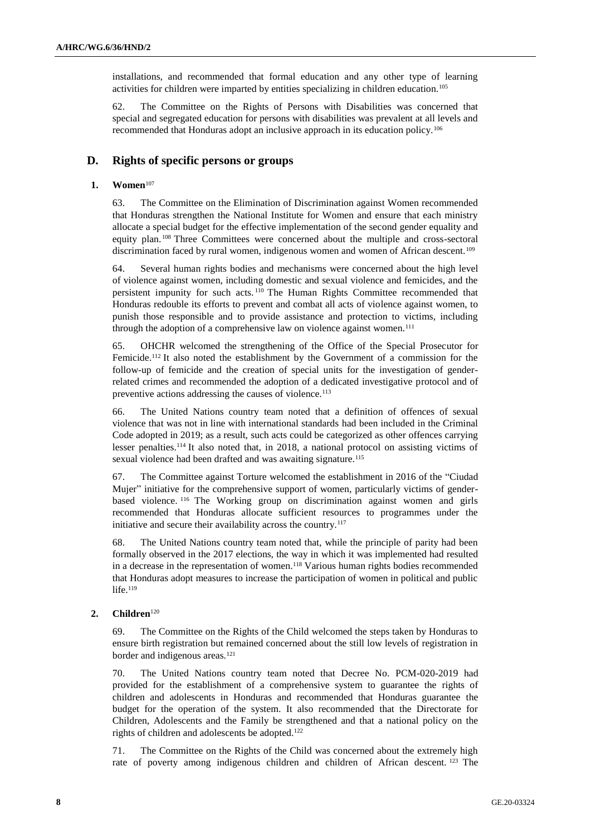installations, and recommended that formal education and any other type of learning activities for children were imparted by entities specializing in children education.<sup>105</sup>

62. The Committee on the Rights of Persons with Disabilities was concerned that special and segregated education for persons with disabilities was prevalent at all levels and recommended that Honduras adopt an inclusive approach in its education policy.<sup>106</sup>

## **D. Rights of specific persons or groups**

#### **1. Women**<sup>107</sup>

63. The Committee on the Elimination of Discrimination against Women recommended that Honduras strengthen the National Institute for Women and ensure that each ministry allocate a special budget for the effective implementation of the second gender equality and equity plan. <sup>108</sup> Three Committees were concerned about the multiple and cross-sectoral discrimination faced by rural women, indigenous women and women of African descent.<sup>109</sup>

64. Several human rights bodies and mechanisms were concerned about the high level of violence against women, including domestic and sexual violence and femicides, and the persistent impunity for such acts. <sup>110</sup> The Human Rights Committee recommended that Honduras redouble its efforts to prevent and combat all acts of violence against women, to punish those responsible and to provide assistance and protection to victims, including through the adoption of a comprehensive law on violence against women.<sup>111</sup>

65. OHCHR welcomed the strengthening of the Office of the Special Prosecutor for Femicide.<sup>112</sup> It also noted the establishment by the Government of a commission for the follow-up of femicide and the creation of special units for the investigation of genderrelated crimes and recommended the adoption of a dedicated investigative protocol and of preventive actions addressing the causes of violence.<sup>113</sup>

66. The United Nations country team noted that a definition of offences of sexual violence that was not in line with international standards had been included in the Criminal Code adopted in 2019; as a result, such acts could be categorized as other offences carrying lesser penalties.<sup>114</sup> It also noted that, in 2018, a national protocol on assisting victims of sexual violence had been drafted and was awaiting signature.<sup>115</sup>

67. The Committee against Torture welcomed the establishment in 2016 of the "Ciudad Mujer" initiative for the comprehensive support of women, particularly victims of genderbased violence. <sup>116</sup> The Working group on discrimination against women and girls recommended that Honduras allocate sufficient resources to programmes under the initiative and secure their availability across the country.<sup>117</sup>

68. The United Nations country team noted that, while the principle of parity had been formally observed in the 2017 elections, the way in which it was implemented had resulted in a decrease in the representation of women.<sup>118</sup> Various human rights bodies recommended that Honduras adopt measures to increase the participation of women in political and public life. $119$ 

#### **2. Children**<sup>120</sup>

69. The Committee on the Rights of the Child welcomed the steps taken by Honduras to ensure birth registration but remained concerned about the still low levels of registration in border and indigenous areas.<sup>121</sup>

70. The United Nations country team noted that Decree No. PCM-020-2019 had provided for the establishment of a comprehensive system to guarantee the rights of children and adolescents in Honduras and recommended that Honduras guarantee the budget for the operation of the system. It also recommended that the Directorate for Children, Adolescents and the Family be strengthened and that a national policy on the rights of children and adolescents be adopted.<sup>122</sup>

71. The Committee on the Rights of the Child was concerned about the extremely high rate of poverty among indigenous children and children of African descent. <sup>123</sup> The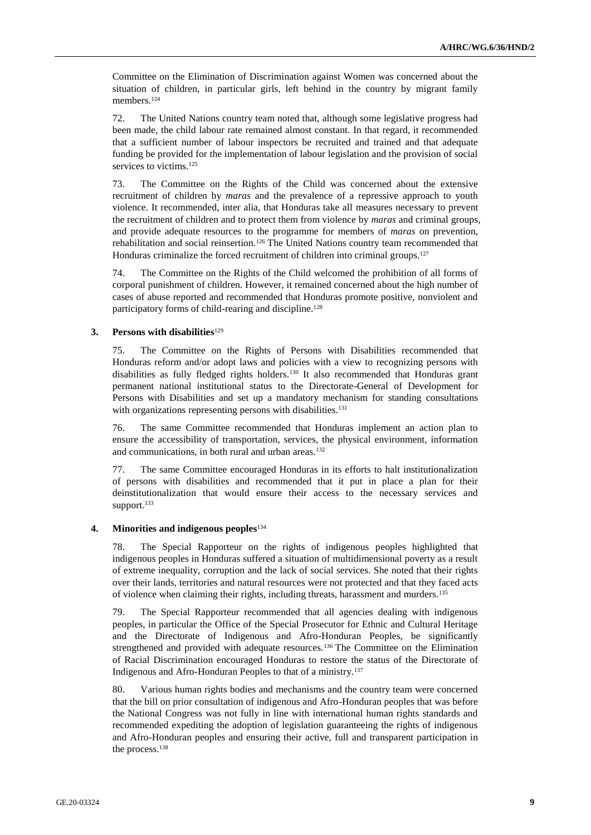Committee on the Elimination of Discrimination against Women was concerned about the situation of children, in particular girls, left behind in the country by migrant family members.<sup>124</sup>

72. The United Nations country team noted that, although some legislative progress had been made, the child labour rate remained almost constant. In that regard, it recommended that a sufficient number of labour inspectors be recruited and trained and that adequate funding be provided for the implementation of labour legislation and the provision of social services to victims.<sup>125</sup>

73. The Committee on the Rights of the Child was concerned about the extensive recruitment of children by *maras* and the prevalence of a repressive approach to youth violence. It recommended, inter alia, that Honduras take all measures necessary to prevent the recruitment of children and to protect them from violence by *maras* and criminal groups, and provide adequate resources to the programme for members of *maras* on prevention, rehabilitation and social reinsertion.<sup>126</sup> The United Nations country team recommended that Honduras criminalize the forced recruitment of children into criminal groups. 127

74. The Committee on the Rights of the Child welcomed the prohibition of all forms of corporal punishment of children. However, it remained concerned about the high number of cases of abuse reported and recommended that Honduras promote positive, nonviolent and participatory forms of child-rearing and discipline.<sup>128</sup>

### **3.** Persons with disabilities<sup>129</sup>

75. The Committee on the Rights of Persons with Disabilities recommended that Honduras reform and/or adopt laws and policies with a view to recognizing persons with disabilities as fully fledged rights holders.<sup>130</sup> It also recommended that Honduras grant permanent national institutional status to the Directorate-General of Development for Persons with Disabilities and set up a mandatory mechanism for standing consultations with organizations representing persons with disabilities.<sup>131</sup>

76. The same Committee recommended that Honduras implement an action plan to ensure the accessibility of transportation, services, the physical environment, information and communications, in both rural and urban areas.<sup>132</sup>

77. The same Committee encouraged Honduras in its efforts to halt institutionalization of persons with disabilities and recommended that it put in place a plan for their deinstitutionalization that would ensure their access to the necessary services and support.<sup>133</sup>

#### **4. Minorities and indigenous peoples**<sup>134</sup>

78. The Special Rapporteur on the rights of indigenous peoples highlighted that indigenous peoples in Honduras suffered a situation of multidimensional poverty as a result of extreme inequality, corruption and the lack of social services. She noted that their rights over their lands, territories and natural resources were not protected and that they faced acts of violence when claiming their rights, including threats, harassment and murders.<sup>135</sup>

79. The Special Rapporteur recommended that all agencies dealing with indigenous peoples, in particular the Office of the Special Prosecutor for Ethnic and Cultural Heritage and the Directorate of Indigenous and Afro-Honduran Peoples, be significantly strengthened and provided with adequate resources.<sup>136</sup> The Committee on the Elimination of Racial Discrimination encouraged Honduras to restore the status of the Directorate of Indigenous and Afro-Honduran Peoples to that of a ministry.<sup>137</sup>

80. Various human rights bodies and mechanisms and the country team were concerned that the bill on prior consultation of indigenous and Afro-Honduran peoples that was before the National Congress was not fully in line with international human rights standards and recommended expediting the adoption of legislation guaranteeing the rights of indigenous and Afro-Honduran peoples and ensuring their active, full and transparent participation in the process.<sup>138</sup>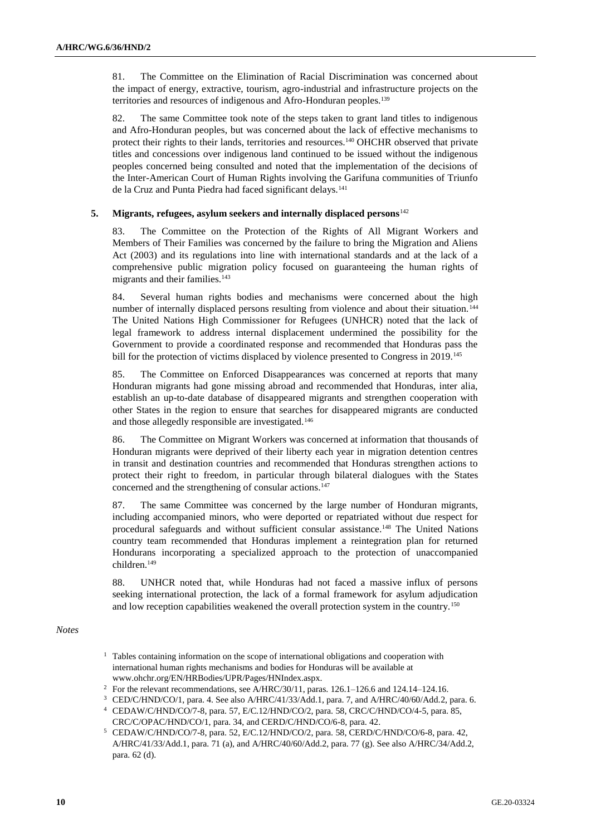81. The Committee on the Elimination of Racial Discrimination was concerned about the impact of energy, extractive, tourism, agro-industrial and infrastructure projects on the territories and resources of indigenous and Afro-Honduran peoples.<sup>139</sup>

82. The same Committee took note of the steps taken to grant land titles to indigenous and Afro-Honduran peoples, but was concerned about the lack of effective mechanisms to protect their rights to their lands, territories and resources.<sup>140</sup> OHCHR observed that private titles and concessions over indigenous land continued to be issued without the indigenous peoples concerned being consulted and noted that the implementation of the decisions of the Inter-American Court of Human Rights involving the Garifuna communities of Triunfo de la Cruz and Punta Piedra had faced significant delays.<sup>141</sup>

#### **5. Migrants, refugees, asylum seekers and internally displaced persons**<sup>142</sup>

83. The Committee on the Protection of the Rights of All Migrant Workers and Members of Their Families was concerned by the failure to bring the Migration and Aliens Act (2003) and its regulations into line with international standards and at the lack of a comprehensive public migration policy focused on guaranteeing the human rights of migrants and their families.<sup>143</sup>

84. Several human rights bodies and mechanisms were concerned about the high number of internally displaced persons resulting from violence and about their situation. <sup>144</sup> The United Nations High Commissioner for Refugees (UNHCR) noted that the lack of legal framework to address internal displacement undermined the possibility for the Government to provide a coordinated response and recommended that Honduras pass the bill for the protection of victims displaced by violence presented to Congress in 2019.<sup>145</sup>

85. The Committee on Enforced Disappearances was concerned at reports that many Honduran migrants had gone missing abroad and recommended that Honduras, inter alia, establish an up-to-date database of disappeared migrants and strengthen cooperation with other States in the region to ensure that searches for disappeared migrants are conducted and those allegedly responsible are investigated.<sup>146</sup>

86. The Committee on Migrant Workers was concerned at information that thousands of Honduran migrants were deprived of their liberty each year in migration detention centres in transit and destination countries and recommended that Honduras strengthen actions to protect their right to freedom, in particular through bilateral dialogues with the States concerned and the strengthening of consular actions.<sup>147</sup>

87. The same Committee was concerned by the large number of Honduran migrants, including accompanied minors, who were deported or repatriated without due respect for procedural safeguards and without sufficient consular assistance.<sup>148</sup> The United Nations country team recommended that Honduras implement a reintegration plan for returned Hondurans incorporating a specialized approach to the protection of unaccompanied children.<sup>149</sup>

88. UNHCR noted that, while Honduras had not faced a massive influx of persons seeking international protection, the lack of a formal framework for asylum adjudication and low reception capabilities weakened the overall protection system in the country.<sup>150</sup>

### *Notes*

- <sup>1</sup> Tables containing information on the scope of international obligations and cooperation with international human rights mechanisms and bodies for Honduras will be available at [www.ohchr.org/EN/HRBodies/UPR/Pages/HNIndex.aspx.](https://www.ohchr.org/EN/HRBodies/UPR/Pages/HNIndex.aspx)
- <sup>2</sup> For the relevant recommendations, see A/HRC/30/11, paras. 126.1–126.6 and 124.14–124.16.
- <sup>3</sup> CED/C/HND/CO/1, para. 4. See also A/HRC/41/33/Add.1, para. 7, and A/HRC/40/60/Add.2, para. 6.
- <sup>4</sup> CEDAW/C/HND/CO/7-8, para. 57, E/C.12/HND/CO/2, para. 58, CRC/C/HND/CO/4-5, para. 85, CRC/C/OPAC/HND/CO/1, para. 34, and CERD/C/HND/CO/6-8, para. 42.
- <sup>5</sup> CEDAW/C/HND/CO/7-8, para. 52, E/C.12/HND/CO/2, para. 58, CERD/C/HND/CO/6-8, para. 42, A/HRC/41/33/Add.1, para. 71 (a), and A/HRC/40/60/Add.2, para. 77 (g). See also A/HRC/34/Add.2, para. 62 (d).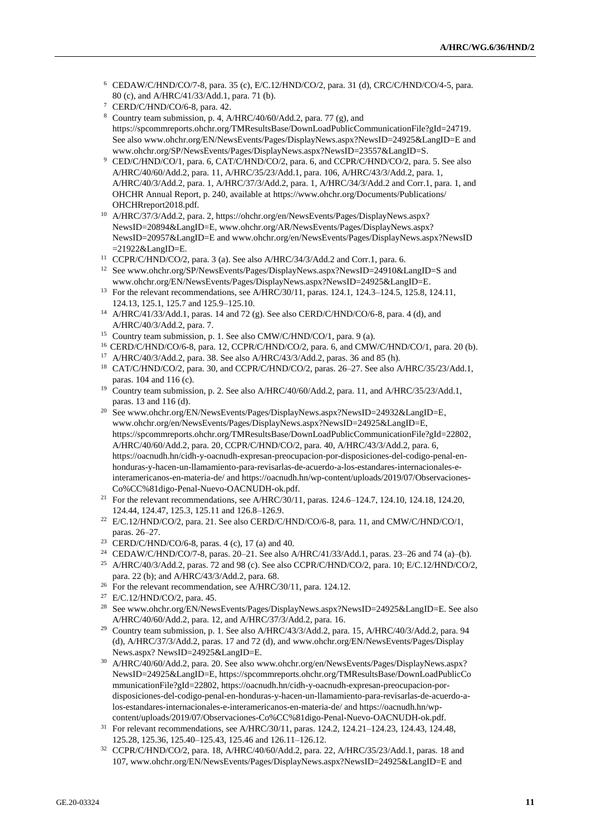- <sup>6</sup> CEDAW/C/HND/CO/7-8, para. 35 (c), E/C.12/HND/CO/2, para. 31 (d), CRC/C/HND/CO/4-5, para. 80 (c), and A/HRC/41/33/Add.1, para. 71 (b).
- CERD/C/HND/CO/6-8, para. 42.
- <sup>8</sup> Country team submission, p. 4, A/HRC/40/60/Add.2, para. 77 (g), and [https://spcommreports.ohchr.org/TMResultsBase/DownLoadPublicCommunicationFile?gId=24719.](https://spcommreports.ohchr.org/TMResultsBase/DownLoadPublicCommunicationFile?gId=24719)  See also [www.ohchr.org/EN/NewsEvents/Pages/DisplayNews.aspx?NewsID=24925&LangID=E](https://www.ohchr.org/EN/NewsEvents/Pages/DisplayNews.aspx?NewsID=24925&LangID=E) and [www.ohchr.org/SP/NewsEvents/Pages/DisplayNews.aspx?NewsID=23557&LangID=S.](http://www.ohchr.org/SP/NewsEvents/Pages/DisplayNews.aspx?NewsID=23557&LangID=S)
- <sup>9</sup> CED/C/HND/CO/1, para. 6, CAT/C/HND/CO/2, para. 6, and CCPR/C/HND/CO/2, para. 5. See also A/HRC/40/60/Add.2, para. 11, A/HRC/35/23/Add.1, para. 106, A/HRC/43/3/Add.2, para. 1, A/HRC/40/3/Add.2, para. 1, A/HRC/37/3/Add.2, para. 1, A/HRC/34/3/Add.2 and Corr.1, para. 1, and OHCHR Annual Report, p. 240, available at [https://www.ohchr.org/Documents/Publications/](https://www.ohchr.org/Documents/Publications/%20OHCHRreport2018.pdf)  [OHCHRreport2018.pdf.](https://www.ohchr.org/Documents/Publications/%20OHCHRreport2018.pdf)
- <sup>10</sup> A/HRC/37/3/Add.2, para. 2[, https://ohchr.org/en/NewsEvents/Pages/DisplayNews.aspx?](https://ohchr.org/en/NewsEvents/Pages/DisplayNews.aspx?%20NewsID=20894&LangID=E)  [NewsID=20894&LangID=E,](https://ohchr.org/en/NewsEvents/Pages/DisplayNews.aspx?%20NewsID=20894&LangID=E) [www.ohchr.org/AR/NewsEvents/Pages/DisplayNews.aspx?](http://www.ohchr.org/AR/NewsEvents/Pages/DisplayNews.aspx?%20NewsID=20957&LangID=E)  [NewsID=20957&LangID=E](http://www.ohchr.org/AR/NewsEvents/Pages/DisplayNews.aspx?%20NewsID=20957&LangID=E) and [www.ohchr.org/en/NewsEvents/Pages/DisplayNews.aspx?NewsID](http://www.ohchr.org/en/NewsEvents/Pages/DisplayNews.aspx?NewsID) =21922&LangID=E.
- <sup>11</sup> CCPR/C/HND/CO/2, para. 3 (a). See also A/HRC/34/3/Add.2 and Corr.1, para. 6.
- <sup>12</sup> See www.ohchr.org/SP/NewsEvents/Pages/DisplayNews.aspx?NewsID=24910&LangID=S and [www.ohchr.org/EN/NewsEvents/Pages/DisplayNews.aspx?NewsID=24925&LangID=E.](http://www.ohchr.org/EN/NewsEvents/Pages/DisplayNews.aspx?NewsID=24925&LangID=E)
- <sup>13</sup> For the relevant recommendations, see A/HRC/30/11, paras. 124.1, 124.3–124.5, 125.8, 124.11, 124.13, 125.1, 125.7 and 125.9–125.10.
- <sup>14</sup> A/HRC/41/33/Add.1, paras. 14 and 72 (g). See also CERD/C/HND/CO/6-8, para. 4 (d), and A/HRC/40/3/Add.2, para. 7.
- <sup>15</sup> Country team submission, p. 1. See also CMW/C/HND/CO/1, para. 9 (a).
- <sup>16</sup> CERD/C/HND/CO/6-8, para. 12, CCPR/C/HND/CO/2, para. 6, and CMW/C/HND/CO/1, para. 20 (b).
- <sup>17</sup> A/HRC/40/3/Add.2, para. 38. See also A/HRC/43/3/Add.2, paras. 36 and 85 (h).
- <sup>18</sup> CAT/C/HND/CO/2, para. 30, and CCPR/C/HND/CO/2, paras. 26–27. See also A/HRC/35/23/Add.1, paras. 104 and 116 (c).
- <sup>19</sup> Country team submission, p. 2. See also A/HRC/40/60/Add.2, para. 11, and A/HRC/35/23/Add.1, paras. 13 and 116 (d).
- <sup>20</sup> See www.ohchr.org/EN/NewsEvents/Pages/DisplayNews.aspx?NewsID=24932&LangID=E, [www.ohchr.org/en/NewsEvents/Pages/DisplayNews.aspx?NewsID=24925&LangID=E,](http://www.ohchr.org/en/NewsEvents/Pages/DisplayNews.aspx?NewsID=24925&LangID=E) [https://spcommreports.ohchr.org/TMResultsBase/DownLoadPublicCommunicationFile?gId=22802,](https://spcommreports.ohchr.org/TMResultsBase/DownLoadPublicCommunicationFile?gId=22802) A/HRC/40/60/Add.2, para. 20, CCPR/C/HND/CO/2, para. 40, A/HRC/43/3/Add.2, para. 6, [https://oacnudh.hn/cidh-y-oacnudh-expresan-preocupacion-por-disposiciones-del-codigo-penal-en](https://oacnudh.hn/cidh-y-oacnudh-expresan-preocupacion-por-disposiciones-del-codigo-penal-en-honduras-y-hacen-un-llamamiento-para-revisarlas-de-acuerdo-a-los-estandares-internacionales-e-interamericanos-en-materia-de/)[honduras-y-hacen-un-llamamiento-para-revisarlas-de-acuerdo-a-los-estandares-internacionales-e](https://oacnudh.hn/cidh-y-oacnudh-expresan-preocupacion-por-disposiciones-del-codigo-penal-en-honduras-y-hacen-un-llamamiento-para-revisarlas-de-acuerdo-a-los-estandares-internacionales-e-interamericanos-en-materia-de/)[interamericanos-en-materia-de/](https://oacnudh.hn/cidh-y-oacnudh-expresan-preocupacion-por-disposiciones-del-codigo-penal-en-honduras-y-hacen-un-llamamiento-para-revisarlas-de-acuerdo-a-los-estandares-internacionales-e-interamericanos-en-materia-de/) and [https://oacnudh.hn/wp-content/uploads/2019/07/Observaciones-](https://oacnudh.hn/wp-content/uploads/2019/07/Observaciones-Co%CC%81digo-Penal-Nuevo-OACNUDH-ok.pdf)[Co%CC%81digo-Penal-Nuevo-OACNUDH-ok.pdf.](https://oacnudh.hn/wp-content/uploads/2019/07/Observaciones-Co%CC%81digo-Penal-Nuevo-OACNUDH-ok.pdf)
- <sup>21</sup> For the relevant recommendations, see A/HRC/30/11, paras. 124.6–124.7, 124.10, 124.18, 124.20, 124.44, 124.47, 125.3, 125.11 and 126.8–126.9.
- <sup>22</sup> E/C.12/HND/CO/2, para. 21. See also CERD/C/HND/CO/6-8, para. 11, and CMW/C/HND/CO/1, paras. 26–27.
- <sup>23</sup> CERD/C/HND/CO/6-8, paras. 4 (c), 17 (a) and 40.
- <sup>24</sup> CEDAW/C/HND/CO/7-8, paras. 20–21. See also A/HRC/41/33/Add.1, paras. 23–26 and 74 (a)–(b).
- <sup>25</sup> A/HRC/40/3/Add.2, paras. 72 and 98 (c). See also CCPR/C/HND/CO/2, para. 10; E/C.12/HND/CO/2, para. 22 (b); and A/HRC/43/3/Add.2, para. 68.
- <sup>26</sup> For the relevant recommendation, see A/HRC/30/11, para. 124.12.
- <sup>27</sup> E/C.12/HND/CO/2, para. 45.
- <sup>28</sup> Se[e www.ohchr.org/EN/NewsEvents/Pages/DisplayNews.aspx?NewsID=24925&LangID=E.](http://www.ohchr.org/EN/NewsEvents/Pages/DisplayNews.aspx?NewsID=24925&LangID=E) See also A/HRC/40/60/Add.2, para. 12, and A/HRC/37/3/Add.2, para. 16.
- <sup>29</sup> Country team submission, p. 1. See also A/HRC/43/3/Add.2, para. 15, A/HRC/40/3/Add.2, para. 94 (d), A/HRC/37/3/Add.2, paras. 17 and 72 (d), and [www.ohchr.org/EN/NewsEvents/Pages/Display](http://www.ohchr.org/EN/NewsEvents/Pages/Display) News.aspx? NewsID=24925&LangID=E.
- <sup>30</sup> A/HRC/40/60/Add.2, para. 20. See also www.ohchr.org/en/NewsEvents/Pages/DisplayNews.aspx? [NewsID=24925&LangID=E,](http://www.ohchr.org/en/NewsEvents/Pages/DisplayNews.aspx?%20NewsID=24925&LangID=E) [https://spcommreports.ohchr.org/TMResultsBase/DownLoadPublicCo](https://spcommreports.ohchr.org/TMResultsBase/DownLoadPublicCo%20mmunicationFile?gId=22802)  [mmunicationFile?gId=22802,](https://spcommreports.ohchr.org/TMResultsBase/DownLoadPublicCo%20mmunicationFile?gId=22802) [https://oacnudh.hn/cidh-y-oacnudh-expresan-preocupacion-por](https://oacnudh.hn/cidh-y-oacnudh-expresan-preocupacion-por-disposiciones-del-codigo-penal-en-honduras-y-hacen-un-llamamiento-para-revisarlas-de-acuerdo-a-los-estandares-internacionales-e-interamericanos-en-materia-de/)[disposiciones-del-codigo-penal-en-honduras-y-hacen-un-llamamiento-para-revisarlas-de-acuerdo-a](https://oacnudh.hn/cidh-y-oacnudh-expresan-preocupacion-por-disposiciones-del-codigo-penal-en-honduras-y-hacen-un-llamamiento-para-revisarlas-de-acuerdo-a-los-estandares-internacionales-e-interamericanos-en-materia-de/)[los-estandares-internacionales-e-interamericanos-en-materia-de/](https://oacnudh.hn/cidh-y-oacnudh-expresan-preocupacion-por-disposiciones-del-codigo-penal-en-honduras-y-hacen-un-llamamiento-para-revisarlas-de-acuerdo-a-los-estandares-internacionales-e-interamericanos-en-materia-de/) an[d https://oacnudh.hn/wp](https://oacnudh.hn/wp-content/uploads/2019/07/Observaciones-Co%CC%81digo-Penal-Nuevo-OACNUDH-ok.pdf)[content/uploads/2019/07/Observaciones-Co%CC%81digo-Penal-Nuevo-OACNUDH-ok.pdf.](https://oacnudh.hn/wp-content/uploads/2019/07/Observaciones-Co%CC%81digo-Penal-Nuevo-OACNUDH-ok.pdf)
- <sup>31</sup> For relevant recommendations, see A/HRC/30/11, paras. 124.2, 124.21-124.23, 124.43, 124.48, 125.28, 125.36, 125.40–125.43, 125.46 and 126.11–126.12.
- <sup>32</sup> CCPR/C/HND/CO/2, para. 18, A/HRC/40/60/Add.2, para. 22, A/HRC/35/23/Add.1, paras. 18 and 107[, www.ohchr.org/EN/NewsEvents/Pages/DisplayNews.aspx?NewsID=24925&LangID=E](http://www.ohchr.org/EN/NewsEvents/Pages/DisplayNews.aspx?NewsID=24925&LangID=E) and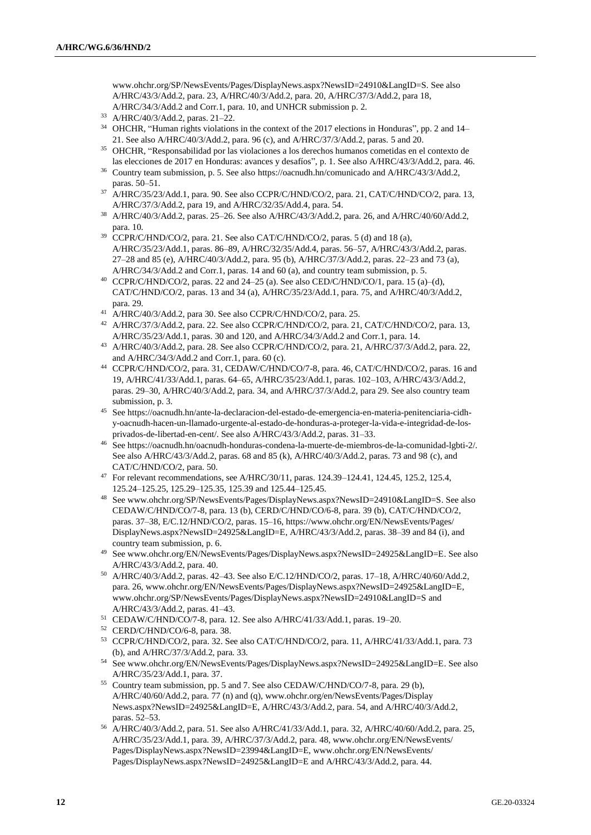[www.ohchr.org/SP/NewsEvents/Pages/DisplayNews.aspx?NewsID=24910&LangID=S.](http://www.ohchr.org/SP/NewsEvents/Pages/DisplayNews.aspx?NewsID=24910&LangID=S) See also A/HRC/43/3/Add.2, para. 23, A/HRC/40/3/Add.2, para. 20, A/HRC/37/3/Add.2, para 18, A/HRC/34/3/Add.2 and Corr.1, para. 10, and UNHCR submission p. 2.

- <sup>33</sup> A/HRC/40/3/Add.2, paras. 21–22.
- <sup>34</sup> OHCHR, "Human rights violations in the context of the 2017 elections in Honduras", pp. 2 and 14– 21. See also A/HRC/40/3/Add.2, para. 96 (c), and A/HRC/37/3/Add.2, paras. 5 and 20.
- <sup>35</sup> OHCHR, "Responsabilidad por las violaciones a los derechos humanos cometidas en el contexto de las elecciones de 2017 en Honduras: avances y desafíos", p. 1. See also A/HRC/43/3/Add.2, para. 46.
- <sup>36</sup> Country team submission, p. 5. See also [https://oacnudh.hn/comunicado](https://oacnudh.hn/comunicado/) and A/HRC/43/3/Add.2, paras. 50–51.
- <sup>37</sup> A/HRC/35/23/Add.1, para. 90. See also CCPR/C/HND/CO/2, para. 21, CAT/C/HND/CO/2, para. 13, A/HRC/37/3/Add.2, para 19, and A/HRC/32/35/Add.4, para. 54.
- <sup>38</sup> A/HRC/40/3/Add.2, paras. 25–26. See also A/HRC/43/3/Add.2, para. 26, and A/HRC/40/60/Add.2, para. 10.
- <sup>39</sup> CCPR/C/HND/CO/2, para. 21. See also CAT/C/HND/CO/2, paras. 5 (d) and 18 (a), A/HRC/35/23/Add.1, paras. 86–89, A/HRC/32/35/Add.4, paras. 56–57, A/HRC/43/3/Add.2, paras. 27–28 and 85 (e), A/HRC/40/3/Add.2, para. 95 (b), A/HRC/37/3/Add.2, paras. 22–23 and 73 (a), A/HRC/34/3/Add.2 and Corr.1, paras. 14 and 60 (a), and country team submission, p. 5.
- <sup>40</sup> CCPR/C/HND/CO/2, paras. 22 and 24-25 (a). See also CED/C/HND/CO/1, para. 15 (a)-(d), CAT/C/HND/CO/2, paras. 13 and 34 (a), A/HRC/35/23/Add.1, para. 75, and A/HRC/40/3/Add.2, para. 29.
- <sup>41</sup> A/HRC/40/3/Add.2, para 30. See also CCPR/C/HND/CO/2, para. 25.
- <sup>42</sup> A/HRC/37/3/Add.2, para. 22. See also CCPR/C/HND/CO/2, para. 21, CAT/C/HND/CO/2, para. 13, A/HRC/35/23/Add.1, paras. 30 and 120, and A/HRC/34/3/Add.2 and Corr.1, para. 14.
- <sup>43</sup> A/HRC/40/3/Add.2, para. 28. See also CCPR/C/HND/CO/2, para. 21, A/HRC/37/3/Add.2, para. 22, and A/HRC/34/3/Add.2 and Corr.1, para. 60 (c).
- <sup>44</sup> CCPR/C/HND/CO/2, para. 31, CEDAW/C/HND/CO/7-8, para. 46, CAT/C/HND/CO/2, paras. 16 and 19, A/HRC/41/33/Add.1, paras. 64–65, A/HRC/35/23/Add.1, paras. 102–103, A/HRC/43/3/Add.2, paras. 29–30, A/HRC/40/3/Add.2, para. 34, and A/HRC/37/3/Add.2, para 29. See also country team submission, p. 3.
- <sup>45</sup> Se[e https://oacnudh.hn/ante-la-declaracion-del-estado-de-emergencia-en-materia-penitenciaria-cidh](https://oacnudh.hn/ante-la-declaracion-del-estado-de-emergencia-en-materia-penitenciaria-cidh-y-oacnudh-hacen-un-llamado-urgente-al-estado-de-honduras-a-proteger-la-vida-e-integridad-de-los-privados-de-libertad-en-cent/)[y-oacnudh-hacen-un-llamado-urgente-al-estado-de-honduras-a-proteger-la-vida-e-integridad-de-los](https://oacnudh.hn/ante-la-declaracion-del-estado-de-emergencia-en-materia-penitenciaria-cidh-y-oacnudh-hacen-un-llamado-urgente-al-estado-de-honduras-a-proteger-la-vida-e-integridad-de-los-privados-de-libertad-en-cent/)[privados-de-libertad-en-cent/.](https://oacnudh.hn/ante-la-declaracion-del-estado-de-emergencia-en-materia-penitenciaria-cidh-y-oacnudh-hacen-un-llamado-urgente-al-estado-de-honduras-a-proteger-la-vida-e-integridad-de-los-privados-de-libertad-en-cent/) See also A/HRC/43/3/Add.2, paras. 31–33.
- <sup>46</sup> Se[e https://oacnudh.hn/oacnudh-honduras-condena-la-muerte-de-miembros-de-la-comunidad-lgbti-2/.](https://oacnudh.hn/oacnudh-honduras-condena-la-muerte-de-miembros-de-la-comunidad-lgbti-2/) See also A/HRC/43/3/Add.2, paras. 68 and 85 (k), A/HRC/40/3/Add.2, paras. 73 and 98 (c), and CAT/C/HND/CO/2, para. 50.
- <sup>47</sup> For relevant recommendations, see A/HRC/30/11, paras. 124.39–124.41, 124.45, 125.2, 125.4, 125.24–125.25, 125.29–125.35, 125.39 and 125.44–125.45.
- <sup>48</sup> Se[e www.ohchr.org/SP/NewsEvents/Pages/DisplayNews.aspx?NewsID=24910&LangID=S.](file:///C:/Users/Capelli/Downloads/www.ohchr.org/SP/NewsEvents/Pages/DisplayNews.aspx%3fNewsID=24910&LangID=S) See also CEDAW/C/HND/CO/7-8, para. 13 (b), CERD/C/HND/CO/6-8, para. 39 (b), CAT/C/HND/CO/2, paras. 37–38, E/C.12/HND/CO/2, paras. 15–16, [https://www.ohchr.org/EN/NewsEvents/Pages/](https://www.ohchr.org/EN/NewsEvents/Pages/%20DisplayNews.aspx?NewsID=24925&LangID=E)  [DisplayNews.aspx?NewsID=24925&LangID=E,](https://www.ohchr.org/EN/NewsEvents/Pages/%20DisplayNews.aspx?NewsID=24925&LangID=E) A/HRC/43/3/Add.2, paras. 38–39 and 84 (i), and country team submission, p. 6.
- <sup>49</sup> See www.ohchr.org/EN/NewsEvents/Pages/DisplayNews.aspx?NewsID=24925&LangID=E. See also A/HRC/43/3/Add.2, para. 40.
- <sup>50</sup> A/HRC/40/3/Add.2, paras. 42–43. See also E/C.12/HND/CO/2, paras. 17–18, A/HRC/40/60/Add.2, para. 26, [www.ohchr.org/EN/NewsEvents/Pages/DisplayNews.aspx?NewsID=24925&LangID=E,](http://www.ohchr.org/EN/NewsEvents/Pages/DisplayNews.aspx?NewsID=24925&LangID=E)  [www.ohchr.org/SP/NewsEvents/Pages/DisplayNews.aspx?NewsID=24910&LangID=S](http://www.ohchr.org/SP/NewsEvents/Pages/DisplayNews.aspx?NewsID=24910&LangID=S) and A/HRC/43/3/Add.2, paras. 41–43.
- <sup>51</sup> CEDAW/C/HND/CO/7-8, para. 12. See also A/HRC/41/33/Add.1, paras. 19–20.
- <sup>52</sup> CERD/C/HND/CO/6-8, para. 38.
- <sup>53</sup> CCPR/C/HND/CO/2, para. 32. See also CAT/C/HND/CO/2, para. 11, A/HRC/41/33/Add.1, para. 73 (b), and A/HRC/37/3/Add.2, para. 33.
- <sup>54</sup> See www.ohchr.org/EN/NewsEvents/Pages/DisplayNews.aspx?NewsID=24925&LangID=E. See also A/HRC/35/23/Add.1, para. 37.
- <sup>55</sup> Country team submission, pp. 5 and 7. See also CEDAW/C/HND/CO/7-8, para. 29 (b), A/HRC/40/60/Add.2, para. 77 (n) and (q), [www.ohchr.org/en/NewsEvents/Pages/Display](http://www.ohchr.org/en/NewsEvents/Pages/Display%20News.aspx?NewsID=24925&LangID=E)  [News.aspx?NewsID=24925&LangID=E,](http://www.ohchr.org/en/NewsEvents/Pages/Display%20News.aspx?NewsID=24925&LangID=E) A/HRC/43/3/Add.2, para. 54, and A/HRC/40/3/Add.2, paras. 52–53.
- <sup>56</sup> A/HRC/40/3/Add.2, para. 51. See also A/HRC/41/33/Add.1, para. 32, A/HRC/40/60/Add.2, para. 25, A/HRC/35/23/Add.1, para. 39, A/HRC/37/3/Add.2, para. 48[, www.ohchr.org/EN/NewsEvents/](http://www.ohchr.org/EN/NewsEvents/%20Pages/DisplayNews.aspx?NewsID=23994&LangID=E)  [Pages/DisplayNews.aspx?NewsID=23994&LangID=E,](http://www.ohchr.org/EN/NewsEvents/%20Pages/DisplayNews.aspx?NewsID=23994&LangID=E) [www.ohchr.org/EN/NewsEvents/](http://www.ohchr.org/EN/NewsEvents/%20Pages/DisplayNews.aspx?NewsID=24925&LangID=E)  [Pages/DisplayNews.aspx?NewsID=24925&LangID=E](http://www.ohchr.org/EN/NewsEvents/%20Pages/DisplayNews.aspx?NewsID=24925&LangID=E) and A/HRC/43/3/Add.2, para. 44.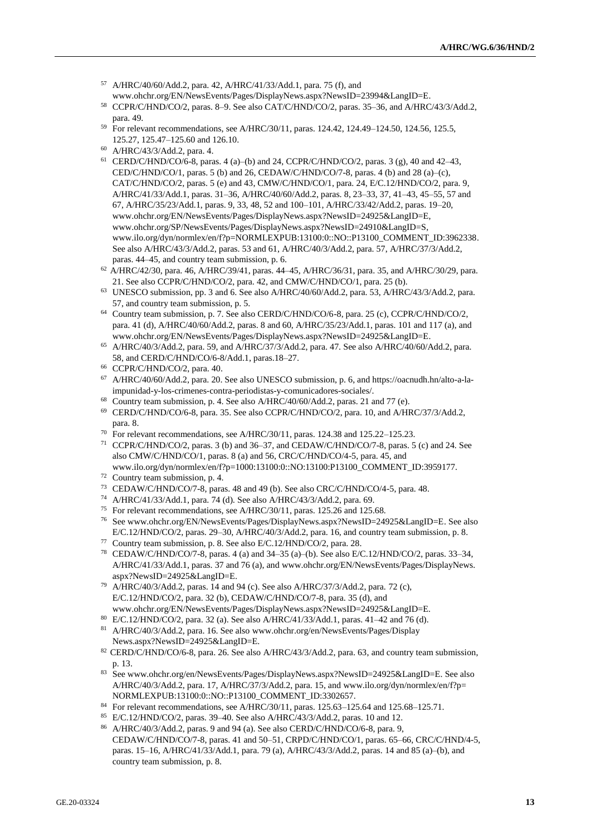- <sup>57</sup> A/HRC/40/60/Add.2, para. 42, A/HRC/41/33/Add.1, para. 75 (f), and [www.ohchr.org/EN/NewsEvents/Pages/DisplayNews.aspx?NewsID=23994&LangID=E.](http://www.ohchr.org/EN/NewsEvents/Pages/DisplayNews.aspx?NewsID=23994&LangID=E)
- <sup>58</sup> CCPR/C/HND/CO/2, paras. 8–9. See also CAT/C/HND/CO/2, paras. 35–36, and A/HRC/43/3/Add.2, para. 49.
- <sup>59</sup> For relevant recommendations, see A/HRC/30/11, paras. 124.42, 124.49–124.50, 124.56, 125.5, 125.27, 125.47–125.60 and 126.10.
- <sup>60</sup> A/HRC/43/3/Add.2, para. 4.
- <sup>61</sup> CERD/C/HND/CO/6-8, paras. 4 (a)–(b) and 24, CCPR/C/HND/CO/2, paras. 3 (g), 40 and 42–43, CED/C/HND/CO/1, paras. 5 (b) and 26, CEDAW/C/HND/CO/7-8, paras. 4 (b) and 28 (a)–(c), CAT/C/HND/CO/2, paras. 5 (e) and 43, CMW/C/HND/CO/1, para. 24, E/C.12/HND/CO/2, para. 9, A/HRC/41/33/Add.1, paras. 31–36, A/HRC/40/60/Add.2, paras. 8, 23–33, 37, 41–43, 45–55, 57 and 67, A/HRC/35/23/Add.1, paras. 9, 33, 48, 52 and 100–101, A/HRC/33/42/Add.2, paras. 19–20, [www.ohchr.org/EN/NewsEvents/Pages/DisplayNews.aspx?NewsID=24925&LangID=E,](http://www.ohchr.org/EN/NewsEvents/Pages/DisplayNews.aspx?NewsID=24925&LangID=E) [www.ohchr.org/SP/NewsEvents/Pages/DisplayNews.aspx?NewsID=24910&LangID=S,](http://www.ohchr.org/SP/NewsEvents/Pages/DisplayNews.aspx?NewsID=24910&LangID=S) www.ilo.org/dyn/normlex/en/f?p=NORMLEXPUB:13100:0::NO::P13100\_COMMENT\_ID:3962338. See also A/HRC/43/3/Add.2, paras. 53 and 61, A/HRC/40/3/Add.2, para. 57, A/HRC/37/3/Add.2, paras. 44–45, and country team submission, p. 6.
- <sup>62</sup> A/HRC/42/30, para. 46, A/HRC/39/41, paras. 44–45, A/HRC/36/31, para. 35, and A/HRC/30/29, para. 21. See also CCPR/C/HND/CO/2, para. 42, and CMW/C/HND/CO/1, para. 25 (b).
- <sup>63</sup> UNESCO submission, pp. 3 and 6. See also A/HRC/40/60/Add.2, para. 53, A/HRC/43/3/Add.2, para. 57, and country team submission, p. 5.
- <sup>64</sup> Country team submission, p. 7. See also CERD/C/HND/CO/6-8, para. 25 (c), CCPR/C/HND/CO/2, para. 41 (d), A/HRC/40/60/Add.2, paras. 8 and 60, A/HRC/35/23/Add.1, paras. 101 and 117 (a), and [www.ohchr.org/EN/NewsEvents/Pages/DisplayNews.aspx?NewsID=24925&LangID=E.](http://www.ohchr.org/EN/NewsEvents/Pages/DisplayNews.aspx?NewsID=24925&LangID=E)
- <sup>65</sup> A/HRC/40/3/Add.2, para. 59, and A/HRC/37/3/Add.2, para. 47. See also A/HRC/40/60/Add.2, para. 58, and CERD/C/HND/CO/6-8/Add.1, paras.18–27.
- <sup>66</sup> CCPR/C/HND/CO/2, para. 40.
- <sup>67</sup> A/HRC/40/60/Add.2, para. 20. See also UNESCO submission, p. 6, and [https://oacnudh.hn/alto-a-la](https://oacnudh.hn/alto-a-la-impunidad-y-los-crimenes-contra-periodistas-y-comunicadores-sociales/)[impunidad-y-los-crimenes-contra-periodistas-y-comunicadores-sociales/.](https://oacnudh.hn/alto-a-la-impunidad-y-los-crimenes-contra-periodistas-y-comunicadores-sociales/)
- <sup>68</sup> Country team submission, p. 4. See also A/HRC/40/60/Add.2, paras. 21 and 77 (e).
- $^{69}$  CERD/C/HND/CO/6-8, para. 35. See also CCPR/C/HND/CO/2, para. 10, and A/HRC/37/3/Add.2, para. 8.
- <sup>70</sup> For relevant recommendations, see A/HRC/30/11, paras. 124.38 and 125.22–125.23.
- <sup>71</sup> CCPR/C/HND/CO/2, paras. 3 (b) and 36–37, and CEDAW/C/HND/CO/7-8, paras. 5 (c) and 24. See also CMW/C/HND/CO/1, paras. 8 (a) and 56, CRC/C/HND/CO/4-5, para. 45, and www.ilo.org/dyn/normlex/en/f?p=1000:13100:0::NO:13100:P13100\_COMMENT\_ID:3959177.
- <sup>72</sup> Country team submission, p. 4.

country team submission, p. 8.

- <sup>73</sup> CEDAW/C/HND/CO/7-8, paras. 48 and 49 (b). See also CRC/C/HND/CO/4-5, para. 48.
- <sup>74</sup> A/HRC/41/33/Add.1, para. 74 (d). See also A/HRC/43/3/Add.2, para. 69.
- <sup>75</sup> For relevant recommendations, see A/HRC/30/11, paras. 125.26 and 125.68.
- <sup>76</sup> [See www.ohchr.org/EN/NewsEvents/Pages/DisplayNews.aspx?NewsID=24925&LangID=E.](https://www.ohchr.org/EN/NewsEvents/Pages/DisplayNews.aspx?NewsID=24925&LangID=E) See also E/C.12/HND/CO/2, paras. 29–30, A/HRC/40/3/Add.2, para. 16, and country team submission, p. 8.
- <sup>77</sup> Country team submission, p. 8. See also E/C.12/HND/CO/2, para. 28. <sup>78</sup> CEDAW/C/HND/CO/7-8, paras. 4 (a) and 34–35 (a)–(b). See also E/C.12/HND/CO/2, paras. 33–34,
- A/HRC/41/33/Add.1, paras. 37 and 76 (a), and [www.ohchr.org/EN/NewsEvents/Pages/DisplayNews.](http://www.ohchr.org/EN/NewsEvents/Pages/DisplayNews.%20aspx?NewsID=24925&LangID=E)  [aspx?NewsID=24925&LangID=E.](http://www.ohchr.org/EN/NewsEvents/Pages/DisplayNews.%20aspx?NewsID=24925&LangID=E)
- <sup>79</sup> A/HRC/40/3/Add.2, paras. 14 and 94 (c). See also A/HRC/37/3/Add.2, para. 72 (c), E/C.12/HND/CO/2, para. 32 (b), CEDAW/C/HND/CO/7-8, para. 35 (d), and www.ohchr.org/EN/NewsEvents/Pages/DisplayNews.aspx?NewsID=24925&LangID=E.
- <sup>80</sup> E/C.12/HND/CO/2, para. 32 (a). See also A/HRC/41/33/Add.1, paras. 41–42 and 76 (d).
- <sup>81</sup> A/HRC/40/3/Add.2, para. 16. See also [www.ohchr.org/en/NewsEvents/Pages/Display](http://www.ohchr.org/en/NewsEvents/Pages/Display%20News.aspx?NewsID=24925&LangID=E)  [News.aspx?NewsID=24925&LangID=E.](http://www.ohchr.org/en/NewsEvents/Pages/Display%20News.aspx?NewsID=24925&LangID=E)
- <sup>82</sup> CERD/C/HND/CO/6-8, para. 26. See also A/HRC/43/3/Add.2, para. 63, and country team submission, p. 13.
- <sup>83</sup> Se[e www.ohchr.org/en/NewsEvents/Pages/DisplayNews.aspx?NewsID=24925&LangID=E.](https://www.ohchr.org/en/NewsEvents/Pages/DisplayNews.aspx?NewsID=24925&LangID=E) See also A/HRC/40/3/Add.2, para. 17, A/HRC/37/3/Add.2, para. 15, and [www.ilo.org/dyn/normlex/en/f?p=](http://www.ilo.org/dyn/normlex/en/f?p=%20NORMLEXPUB:13100:0::NO::P13100_COMMENT_ID:3302657)  [NORMLEXPUB:13100:0::NO::P13100\\_COMMENT\\_ID:3302657.](http://www.ilo.org/dyn/normlex/en/f?p=%20NORMLEXPUB:13100:0::NO::P13100_COMMENT_ID:3302657)
- 84 For relevant recommendations, see A/HRC/30/11, paras. 125.63-125.64 and 125.68-125.71.
- <sup>85</sup> E/C.12/HND/CO/2, paras. 39–40. See also A/HRC/43/3/Add.2, paras. 10 and 12. <sup>86</sup> A/HRC/40/3/Add.2, paras. 9 and 94 (a). See also CERD/C/HND/CO/6-8, para. 9, CEDAW/C/HND/CO/7-8, paras. 41 and 50–51, CRPD/C/HND/CO/1, paras. 65–66, CRC/C/HND/4-5, paras. 15–16, A/HRC/41/33/Add.1, para. 79 (a), A/HRC/43/3/Add.2, paras. 14 and 85 (a)–(b), and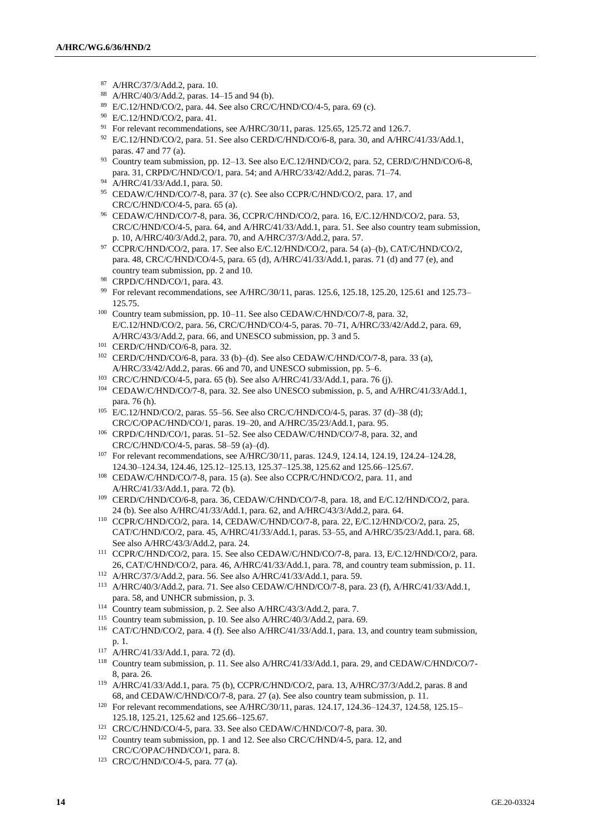- <sup>87</sup> A/HRC/37/3/Add.2, para. 10.
- <sup>88</sup> A/HRC/40/3/Add.2, paras. 14–15 and 94 (b).
- <sup>89</sup> E/C.12/HND/CO/2, para. 44. See also CRC/C/HND/CO/4-5, para. 69 (c).
- <sup>90</sup> E/C.12/HND/CO/2, para. 41.
- <sup>91</sup> For relevant recommendations, see A/HRC/30/11, paras. 125.65, 125.72 and 126.7.
- $92$  E/C.12/HND/CO/2, para. 51. See also CERD/C/HND/CO/6-8, para. 30, and A/HRC/41/33/Add.1, paras. 47 and 77 (a).
- <sup>93</sup> Country team submission, pp. 12–13. See also E/C.12/HND/CO/2, para. 52, CERD/C/HND/CO/6-8, para. 31, CRPD/C/HND/CO/1, para. 54; and A/HRC/33/42/Add.2, paras. 71–74.
- <sup>94</sup> A/HRC/41/33/Add.1, para. 50.
- <sup>95</sup> CEDAW/C/HND/CO/7-8, para. 37 (c). See also CCPR/C/HND/CO/2, para. 17, and CRC/C/HND/CO/4-5, para. 65 (a).
- <sup>96</sup> CEDAW/C/HND/CO/7-8, para. 36, CCPR/C/HND/CO/2, para. 16, E/C.12/HND/CO/2, para. 53, CRC/C/HND/CO/4-5, para. 64, and A/HRC/41/33/Add.1, para. 51. See also country team submission, p. 10, A/HRC/40/3/Add.2, para. 70, and A/HRC/37/3/Add.2, para. 57.
- <sup>97</sup> CCPR/C/HND/CO/2, para. 17. See also E/C.12/HND/CO/2, para. 54 (a)–(b), CAT/C/HND/CO/2, para. 48, CRC/C/HND/CO/4-5, para. 65 (d), A/HRC/41/33/Add.1, paras. 71 (d) and 77 (e), and country team submission, pp. 2 and 10.
- <sup>98</sup> CRPD/C/HND/CO/1, para. 43.
- <sup>99</sup> For relevant recommendations, see A/HRC/30/11, paras. 125.6, 125.18, 125.20, 125.61 and 125.73– 125.75.
- <sup>100</sup> Country team submission, pp. 10–11. See also CEDAW/C/HND/CO/7-8, para. 32, E/C.12/HND/CO/2, para. 56, CRC/C/HND/CO/4-5, paras. 70–71, A/HRC/33/42/Add.2, para. 69, A/HRC/43/3/Add.2, para. 66, and UNESCO submission, pp. 3 and 5.
- <sup>101</sup> CERD/C/HND/CO/6-8, para. 32.
- <sup>102</sup> CERD/C/HND/CO/6-8, para. 33 (b)–(d). See also CEDAW/C/HND/CO/7-8, para. 33 (a), A/HRC/33/42/Add.2, paras. 66 and 70, and UNESCO submission, pp. 5–6.
- <sup>103</sup> CRC/C/HND/CO/4-5, para. 65 (b). See also A/HRC/41/33/Add.1, para. 76 (j). <sup>104</sup> CEDAW/C/HND/CO/7-8, para. 32. See also UNESCO submission, p. 5, and A/HRC/41/33/Add.1,
- para. 76 (h). <sup>105</sup> E/C.12/HND/CO/2, paras. 55–56. See also CRC/C/HND/CO/4-5, paras. 37 (d)–38 (d); CRC/C/OPAC/HND/CO/1, paras. 19–20, and A/HRC/35/23/Add.1, para. 95.
- <sup>106</sup> CRPD/C/HND/CO/1, paras. 51–52. See also CEDAW/C/HND/CO/7-8, para. 32, and CRC/C/HND/CO/4-5, paras. 58–59 (a)–(d).
- <sup>107</sup> For relevant recommendations, see A/HRC/30/11, paras. 124.9, 124.14, 124.19, 124.24-124.28, 124.30–124.34, 124.46, 125.12–125.13, 125.37–125.38, 125.62 and 125.66–125.67.
- <sup>108</sup> CEDAW/C/HND/CO/7-8, para. 15 (a). See also CCPR/C/HND/CO/2, para. 11, and A/HRC/41/33/Add.1, para. 72 (b).
- <sup>109</sup> CERD/C/HND/CO/6-8, para. 36, CEDAW/C/HND/CO/7-8, para. 18, and E/C.12/HND/CO/2, para. 24 (b). See also A/HRC/41/33/Add.1, para. 62, and A/HRC/43/3/Add.2, para. 64.
- <sup>110</sup> CCPR/C/HND/CO/2, para. 14, CEDAW/C/HND/CO/7-8, para. 22, E/C.12/HND/CO/2, para. 25, CAT/C/HND/CO/2, para. 45, A/HRC/41/33/Add.1, paras. 53–55, and A/HRC/35/23/Add.1, para. 68. See also A/HRC/43/3/Add.2, para. 24.
- <sup>111</sup> CCPR/C/HND/CO/2, para. 15. See also CEDAW/C/HND/CO/7-8, para. 13, E/C.12/HND/CO/2, para. 26, CAT/C/HND/CO/2, para. 46, A/HRC/41/33/Add.1, para. 78, and country team submission, p. 11.
- <sup>112</sup> A/HRC/37/3/Add.2, para. 56. See also A/HRC/41/33/Add.1, para. 59.
- <sup>113</sup> A/HRC/40/3/Add.2, para. 71. See also CEDAW/C/HND/CO/7-8, para. 23 (f), A/HRC/41/33/Add.1, para. 58, and UNHCR submission, p. 3.
- <sup>114</sup> Country team submission, p. 2. See also A/HRC/43/3/Add.2, para. 7.
- <sup>115</sup> Country team submission, p. 10. See also A/HRC/40/3/Add.2, para. 69.
- <sup>116</sup> CAT/C/HND/CO/2, para. 4 (f). See also A/HRC/41/33/Add.1, para. 13, and country team submission, p. 1.
- <sup>117</sup> A/HRC/41/33/Add.1, para. 72 (d).
- <sup>118</sup> Country team submission, p. 11. See also A/HRC/41/33/Add.1, para. 29, and CEDAW/C/HND/CO/7- 8, para. 26.
- <sup>119</sup> A/HRC/41/33/Add.1, para. 75 (b), CCPR/C/HND/CO/2, para. 13, A/HRC/37/3/Add.2, paras. 8 and 68, and CEDAW/C/HND/CO/7-8, para. 27 (a). See also country team submission, p. 11.
- <sup>120</sup> For relevant recommendations, see A/HRC/30/11, paras. 124.17, 124.36-124.37, 124.58, 125.15-125.18, 125.21, 125.62 and 125.66–125.67.
- <sup>121</sup> CRC/C/HND/CO/4-5, para. 33. See also CEDAW/C/HND/CO/7-8, para. 30.
- <sup>122</sup> Country team submission, pp. 1 and 12. See also CRC/C/HND/4-5, para. 12, and CRC/C/OPAC/HND/CO/1, para. 8.
- <sup>123</sup> CRC/C/HND/CO/4-5, para. 77 (a).